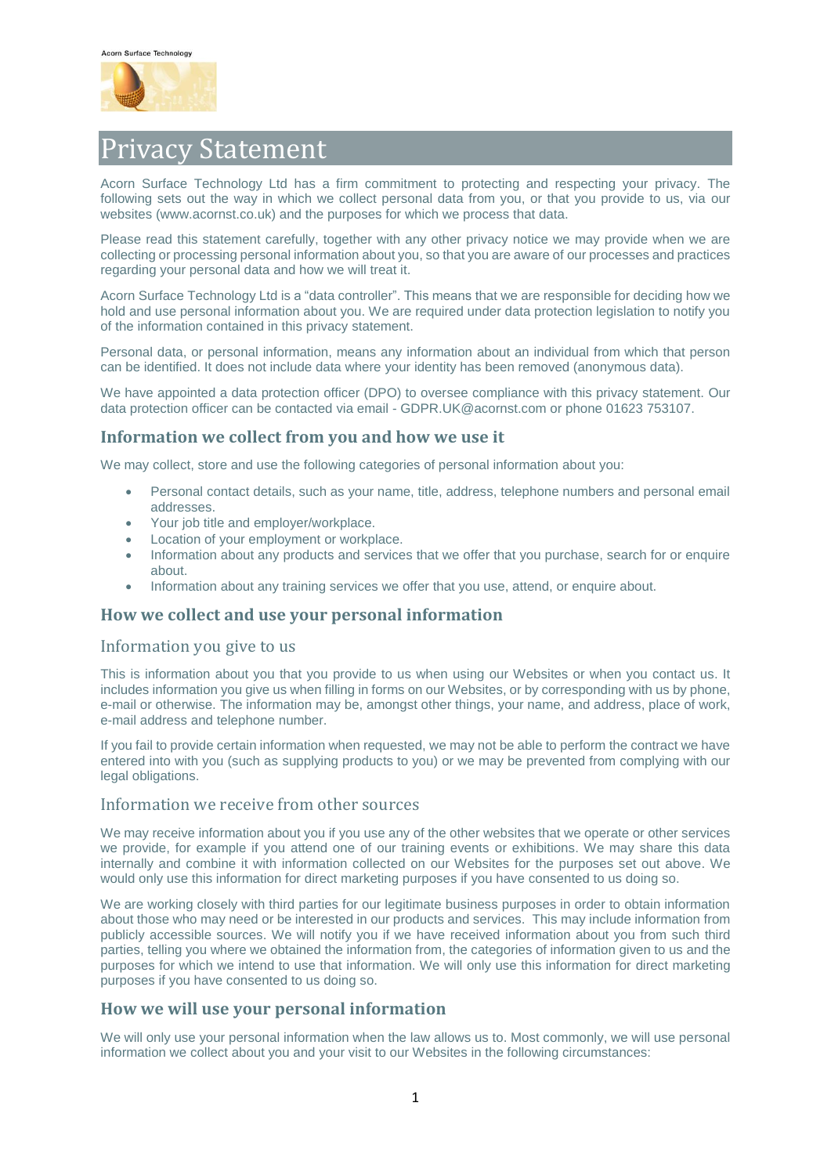

# Privacy Statement

Acorn Surface Technology Ltd has a firm commitment to protecting and respecting your privacy. The following sets out the way in which we collect personal data from you, or that you provide to us, via our websites (www.acornst.co.uk) and the purposes for which we process that data.

Please read this statement carefully, together with any other privacy notice we may provide when we are collecting or processing personal information about you, so that you are aware of our processes and practices regarding your personal data and how we will treat it.

Acorn Surface Technology Ltd is a "data controller". This means that we are responsible for deciding how we hold and use personal information about you. We are required under data protection legislation to notify you of the information contained in this privacy statement.

Personal data, or personal information, means any information about an individual from which that person can be identified. It does not include data where your identity has been removed (anonymous data).

We have appointed a data protection officer (DPO) to oversee compliance with this privacy statement. Our data protection officer can be contacted via email - GDPR.UK@acornst.com or phone 01623 753107.

#### **Information we collect from you and how we use it**

We may collect, store and use the following categories of personal information about you:

- Personal contact details, such as your name, title, address, telephone numbers and personal email addresses.
- Your job title and employer/workplace.
- Location of your employment or workplace.
- Information about any products and services that we offer that you purchase, search for or enquire about.
- Information about any training services we offer that you use, attend, or enquire about.

#### **How we collect and use your personal information**

#### Information you give to us

This is information about you that you provide to us when using our Websites or when you contact us. It includes information you give us when filling in forms on our Websites, or by corresponding with us by phone, e-mail or otherwise. The information may be, amongst other things, your name, and address, place of work, e-mail address and telephone number.

If you fail to provide certain information when requested, we may not be able to perform the contract we have entered into with you (such as supplying products to you) or we may be prevented from complying with our legal obligations.

#### Information we receive from other sources

We may receive information about you if you use any of the other websites that we operate or other services we provide, for example if you attend one of our training events or exhibitions. We may share this data internally and combine it with information collected on our Websites for the purposes set out above. We would only use this information for direct marketing purposes if you have consented to us doing so.

We are working closely with third parties for our legitimate business purposes in order to obtain information about those who may need or be interested in our products and services. This may include information from publicly accessible sources. We will notify you if we have received information about you from such third parties, telling you where we obtained the information from, the categories of information given to us and the purposes for which we intend to use that information. We will only use this information for direct marketing purposes if you have consented to us doing so.

# **How we will use your personal information**

We will only use your personal information when the law allows us to. Most commonly, we will use personal information we collect about you and your visit to our Websites in the following circumstances: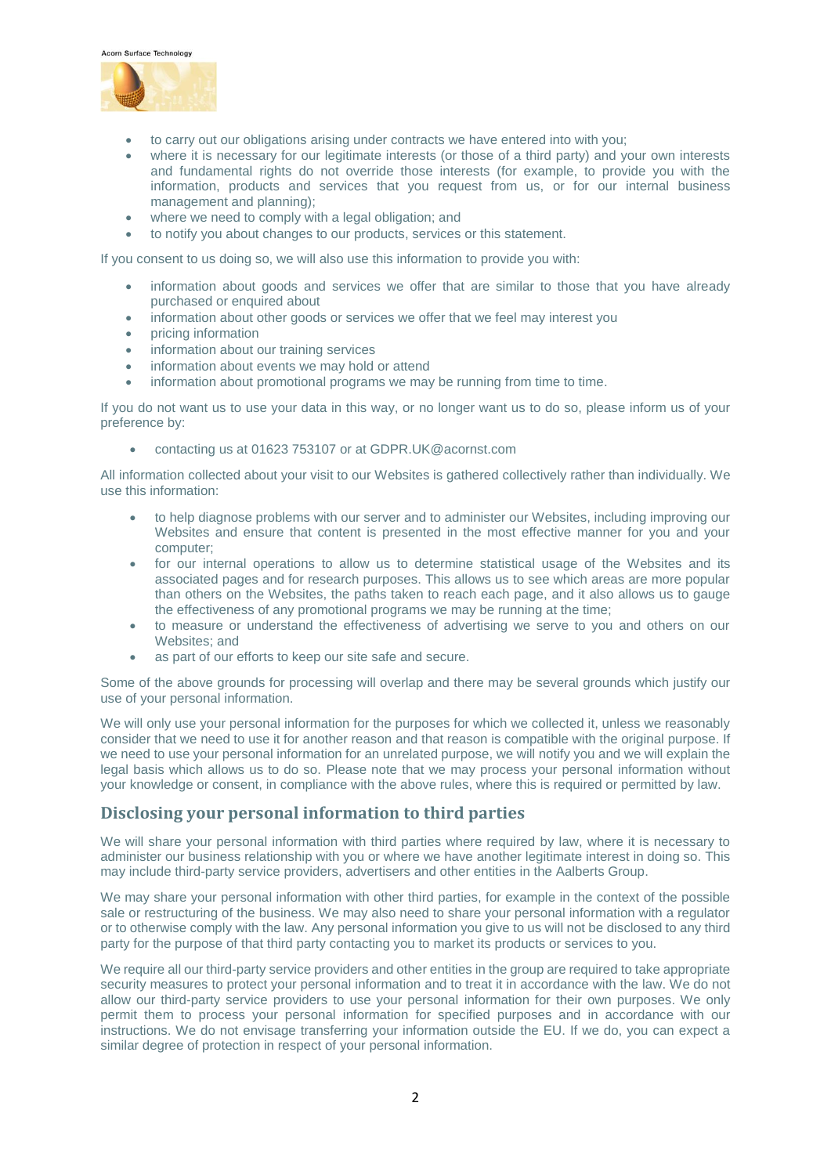



- to carry out our obligations arising under contracts we have entered into with you;
- where it is necessary for our legitimate interests (or those of a third party) and your own interests and fundamental rights do not override those interests (for example, to provide you with the information, products and services that you request from us, or for our internal business management and planning);
- where we need to comply with a legal obligation; and
- to notify you about changes to our products, services or this statement.

If you consent to us doing so, we will also use this information to provide you with:

- information about goods and services we offer that are similar to those that you have already purchased or enquired about
- information about other goods or services we offer that we feel may interest you
- pricing information
- information about our training services
- information about events we may hold or attend
- information about promotional programs we may be running from time to time.

If you do not want us to use your data in this way, or no longer want us to do so, please inform us of your preference by:

contacting us at 01623 753107 or at GDPR.UK@acornst.com

All information collected about your visit to our Websites is gathered collectively rather than individually. We use this information:

- to help diagnose problems with our server and to administer our Websites, including improving our Websites and ensure that content is presented in the most effective manner for you and your computer;
- for our internal operations to allow us to determine statistical usage of the Websites and its associated pages and for research purposes. This allows us to see which areas are more popular than others on the Websites, the paths taken to reach each page, and it also allows us to gauge the effectiveness of any promotional programs we may be running at the time;
- to measure or understand the effectiveness of advertising we serve to you and others on our Websites; and
- as part of our efforts to keep our site safe and secure.

Some of the above grounds for processing will overlap and there may be several grounds which justify our use of your personal information.

We will only use your personal information for the purposes for which we collected it, unless we reasonably consider that we need to use it for another reason and that reason is compatible with the original purpose. If we need to use your personal information for an unrelated purpose, we will notify you and we will explain the legal basis which allows us to do so. Please note that we may process your personal information without your knowledge or consent, in compliance with the above rules, where this is required or permitted by law.

# **Disclosing your personal information to third parties**

We will share your personal information with third parties where required by law, where it is necessary to administer our business relationship with you or where we have another legitimate interest in doing so. This may include third-party service providers, advertisers and other entities in the Aalberts Group.

We may share your personal information with other third parties, for example in the context of the possible sale or restructuring of the business. We may also need to share your personal information with a regulator or to otherwise comply with the law. Any personal information you give to us will not be disclosed to any third party for the purpose of that third party contacting you to market its products or services to you.

We require all our third-party service providers and other entities in the group are required to take appropriate security measures to protect your personal information and to treat it in accordance with the law. We do not allow our third-party service providers to use your personal information for their own purposes. We only permit them to process your personal information for specified purposes and in accordance with our instructions. We do not envisage transferring your information outside the EU. If we do, you can expect a similar degree of protection in respect of your personal information.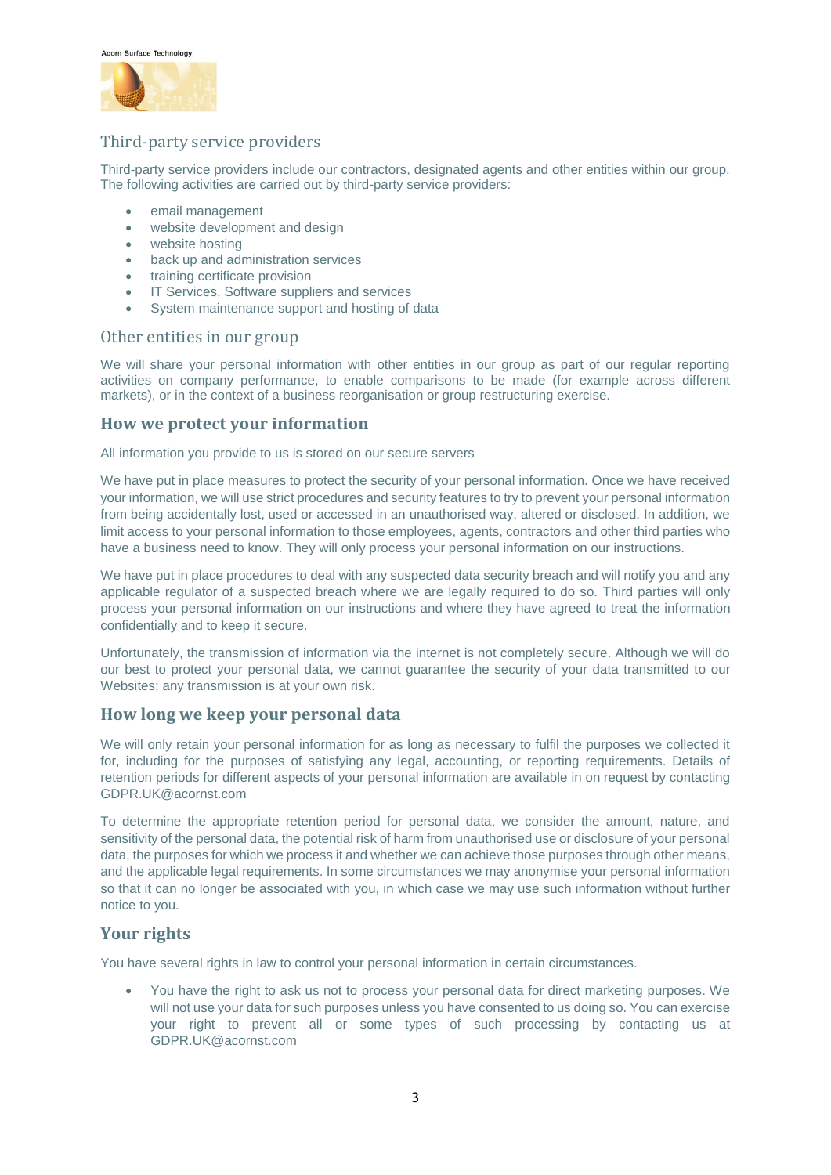



# Third-party service providers

Third-party service providers include our contractors, designated agents and other entities within our group. The following activities are carried out by third-party service providers:

- email management
- website development and design
- website hosting
- back up and administration services
- training certificate provision
- **IT Services, Software suppliers and services**
- System maintenance support and hosting of data

#### Other entities in our group

We will share your personal information with other entities in our group as part of our regular reporting activities on company performance, to enable comparisons to be made (for example across different markets), or in the context of a business reorganisation or group restructuring exercise.

#### **How we protect your information**

All information you provide to us is stored on our secure servers

We have put in place measures to protect the security of your personal information. Once we have received your information, we will use strict procedures and security features to try to prevent your personal information from being accidentally lost, used or accessed in an unauthorised way, altered or disclosed. In addition, we limit access to your personal information to those employees, agents, contractors and other third parties who have a business need to know. They will only process your personal information on our instructions.

We have put in place procedures to deal with any suspected data security breach and will notify you and any applicable regulator of a suspected breach where we are legally required to do so. Third parties will only process your personal information on our instructions and where they have agreed to treat the information confidentially and to keep it secure.

Unfortunately, the transmission of information via the internet is not completely secure. Although we will do our best to protect your personal data, we cannot guarantee the security of your data transmitted to our Websites; any transmission is at your own risk.

# **How long we keep your personal data**

We will only retain your personal information for as long as necessary to fulfil the purposes we collected it for, including for the purposes of satisfying any legal, accounting, or reporting requirements. Details of retention periods for different aspects of your personal information are available in on request by contacting GDPR.UK@acornst.com

To determine the appropriate retention period for personal data, we consider the amount, nature, and sensitivity of the personal data, the potential risk of harm from unauthorised use or disclosure of your personal data, the purposes for which we process it and whether we can achieve those purposes through other means, and the applicable legal requirements. In some circumstances we may anonymise your personal information so that it can no longer be associated with you, in which case we may use such information without further notice to you.

# **Your rights**

You have several rights in law to control your personal information in certain circumstances.

 You have the right to ask us not to process your personal data for direct marketing purposes. We will not use your data for such purposes unless you have consented to us doing so. You can exercise your right to prevent all or some types of such processing by contacting us at GDPR.UK@acornst.com